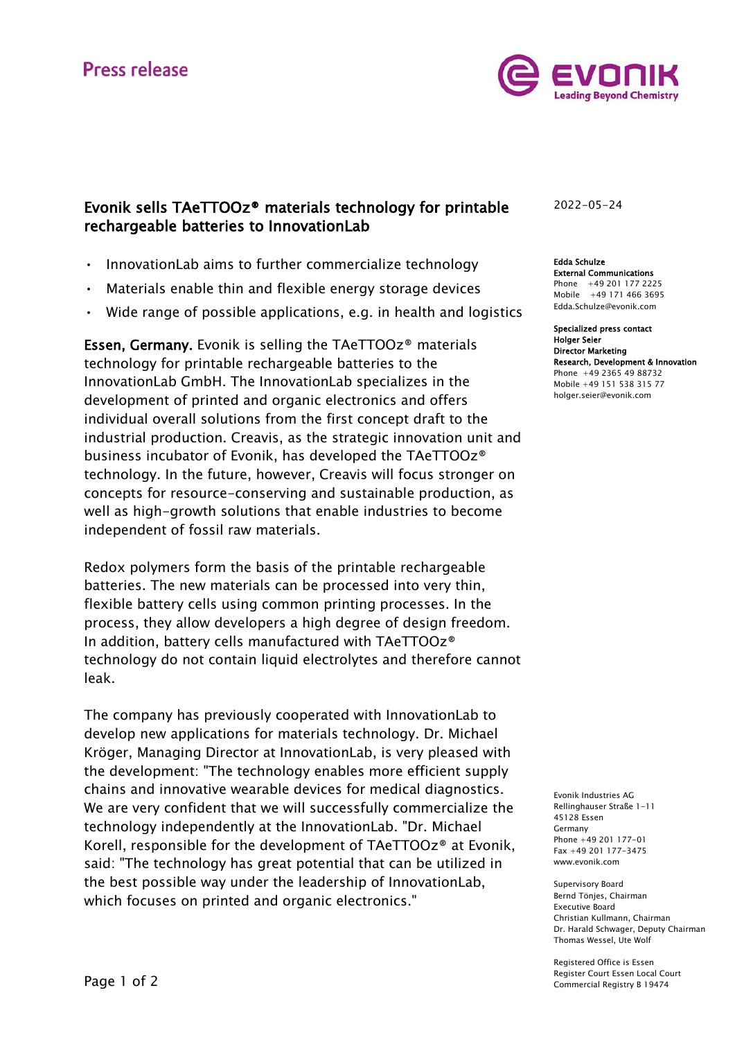# **Press release**



## Evonik sells TAeTTOOz® materials technology for printable rechargeable batteries to InnovationLab

- InnovationLab aims to further commercialize technology
- Materials enable thin and flexible energy storage devices
- Wide range of possible applications, e.g. in health and logistics

Essen, Germany. Evonik is selling the TAeTTOOz® materials technology for printable rechargeable batteries to the InnovationLab GmbH. The InnovationLab specializes in the development of printed and organic electronics and offers individual overall solutions from the first concept draft to the industrial production. Creavis, as the strategic innovation unit and business incubator of Evonik, has developed the TAeTTOOz® technology. In the future, however, Creavis will focus stronger on concepts for resource-conserving and sustainable production, as well as high-growth solutions that enable industries to become independent of fossil raw materials.

Redox polymers form the basis of the printable rechargeable batteries. The new materials can be processed into very thin, flexible battery cells using common printing processes. In the process, they allow developers a high degree of design freedom. In addition, battery cells manufactured with TAeTTOOz® technology do not contain liquid electrolytes and therefore cannot leak.

The company has previously cooperated with InnovationLab to develop new applications for materials technology. Dr. Michael Kröger, Managing Director at InnovationLab, is very pleased with the development: "The technology enables more efficient supply chains and innovative wearable devices for medical diagnostics. We are very confident that we will successfully commercialize the technology independently at the InnovationLab. "Dr. Michael Korell, responsible for the development of TAeTTOOz® at Evonik, said: "The technology has great potential that can be utilized in the best possible way under the leadership of InnovationLab, which focuses on printed and organic electronics."

2022-05-24

Edda Schulze External Communications Phone +49 201 177 2225 Mobile +49 171 466 3695 [Edda.Schulze@evonik.com](mailto:Edda.Schulze@evonik.com)

Specialized press contact Holger Seier Director Marketing Research, Development & Innovation Phone +49 2365 49 88732 Mobile +49 151 538 315 77 [holger.seier@evonik.com](mailto:holger.seier@evonik.com)

Evonik Industries AG Rellinghauser Straße 1-11 45128 Essen Germany Phone +49 201 177-01 Fax +49 201 177-3475 www.evonik.com

Supervisory Board Bernd Tönjes, Chairman Executive Board Christian Kullmann, Chairman Dr. Harald Schwager, Deputy Chairman Thomas Wessel, Ute Wolf

Registered Office is Essen Register Court Essen Local Court Commercial Registry B 19474